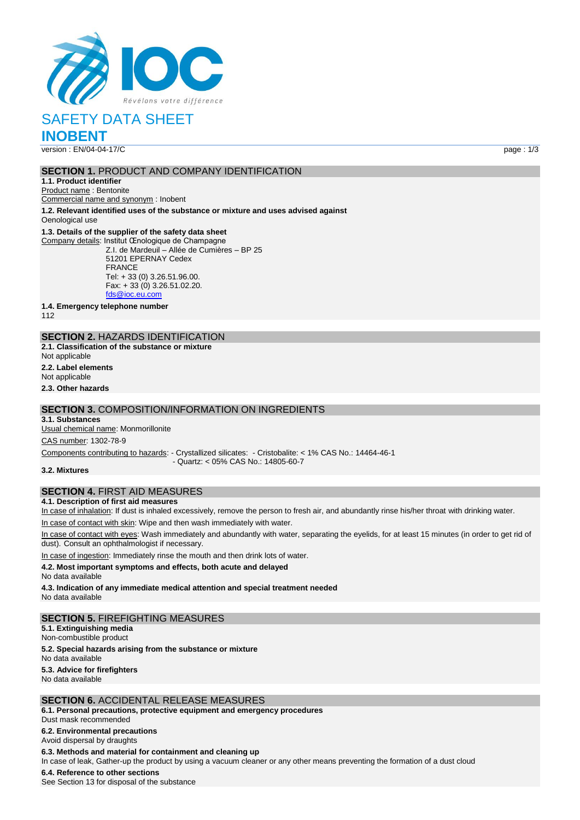

# SAFETY DATA SHEET

**INOBENT**

version : EN/04-04-17/C page : 1/3

#### **SECTION 1.** PRODUCT AND COMPANY IDENTIFICATION

**1.1. Product identifier**

Product name : Bentonite

Commercial name and synonym : Inobent

**1.2. Relevant identified uses of the substance or mixture and uses advised against**

Oenological use

#### **1.3. Details of the supplier of the safety data sheet**

Company details: Institut Œnologique de Champagne

Z.I. de Mardeuil – Allée de Cumières – BP 25 51201 EPERNAY Cedex FRANCE Tel: + 33 (0) 3.26.51.96.00. Fax: + 33 (0) 3.26.51.02.20. fds@ioc.eu.c

**1.4. Emergency telephone number**

112

## **SECTION 2.** HAZARDS IDENTIFICATION

**2.1. Classification of the substance or mixture** Not applicable

**2.2. Label elements**

Not applicable

**2.3. Other hazards**

#### **SECTION 3.** COMPOSITION/INFORMATION ON INGREDIENTS

**3.1. Substances**

Usual chemical name: Monmorillonite CAS number: 1302-78-9

Components contributing to hazards: - Crystallized silicates: - Cristobalite: < 1% CAS No.: 14464-46-1 - Quartz: < 05% CAS No.: 14805-60-7

**3.2. Mixtures**

#### **SECTION 4.** FIRST AID MEASURES

**4.1. Description of first aid measures**

In case of inhalation: If dust is inhaled excessively, remove the person to fresh air, and abundantly rinse his/her throat with drinking water.

In case of contact with skin: Wipe and then wash immediately with water.

In case of contact with eyes: Wash immediately and abundantly with water, separating the eyelids, for at least 15 minutes (in order to get rid of dust). Consult an ophthalmologist if necessary.

In case of ingestion: Immediately rinse the mouth and then drink lots of water.

#### **4.2. Most important symptoms and effects, both acute and delayed**

No data available

**4.3. Indication of any immediate medical attention and special treatment needed** No data available

#### **SECTION 5.** FIREFIGHTING MEASURES

**5.1. Extinguishing media** Non-combustible product

**5.2. Special hazards arising from the substance or mixture**

No data available

**5.3. Advice for firefighters** No data available

## **SECTION 6.** ACCIDENTAL RELEASE MEASURES

**6.1. Personal precautions, protective equipment and emergency procedures** Dust mask recommended

#### **6.2. Environmental precautions**

Avoid dispersal by draughts

#### **6.3. Methods and material for containment and cleaning up**

In case of leak, Gather-up the product by using a vacuum cleaner or any other means preventing the formation of a dust cloud

#### **6.4. Reference to other sections**

See Section 13 for disposal of the substance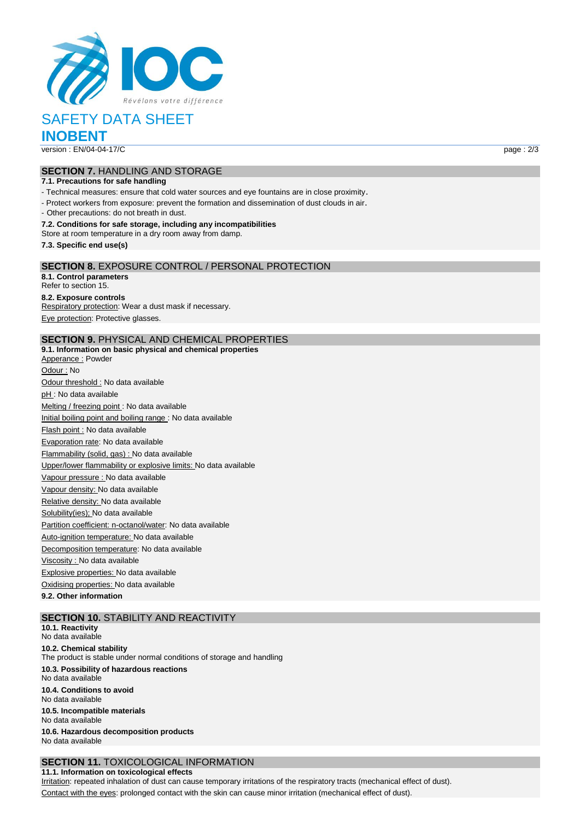

# SAFETY DATA SHEET

**INOBENT**

version : EN/04-04-17/C page : 2/3

## **SECTION 7.** HANDLING AND STORAGE

#### **7.1. Precautions for safe handling**

- Technical measures: ensure that cold water sources and eye fountains are in close proximity.

- Protect workers from exposure: prevent the formation and dissemination of dust clouds in air.

- Other precautions: do not breath in dust.

#### **7.2. Conditions for safe storage, including any incompatibilities**

Store at room temperature in a dry room away from damp.

**7.3. Specific end use(s)**

#### **SECTION 8.** EXPOSURE CONTROL / PERSONAL PROTECTION

**8.1. Control parameters** Refer to section 15. **8.2. Exposure controls** Respiratory protection: Wear a dust mask if necessary. Eye protection: Protective glasses.

#### **SECTION 9.** PHYSICAL AND CHEMICAL PROPERTIES

**9.1. Information on basic physical and chemical properties** Apperance : Powder Odour : No Odour threshold : No data available pH : No data available Melting / freezing point : No data available Initial boiling point and boiling range : No data available Flash point : No data available Evaporation rate: No data available Flammability (solid, gas) : No data available Upper/lower flammability or explosive limits: No data available Vapour pressure : No data available Vapour density: No data available Relative density: No data available Solubility(ies); No data available Partition coefficient: n-octanol/water: No data available Auto-ignition temperature: No data available Decomposition temperature: No data available Viscosity : No data available Explosive properties: No data available Oxidising properties: No data available **9.2. Other information**

## **SECTION 10.** STABILITY AND REACTIVITY

**10.1. Reactivity** No data available **10.2. Chemical stability** The product is stable under normal conditions of storage and handling **10.3. Possibility of hazardous reactions** No data available **10.4. Conditions to avoid** No data available **10.5. Incompatible materials** No data available **10.6. Hazardous decomposition products** No data available

### **SECTION 11.** TOXICOLOGICAL INFORMATION

**11.1. Information on toxicological effects** Irritation: repeated inhalation of dust can cause temporary irritations of the respiratory tracts (mechanical effect of dust).

Contact with the eyes: prolonged contact with the skin can cause minor irritation (mechanical effect of dust).